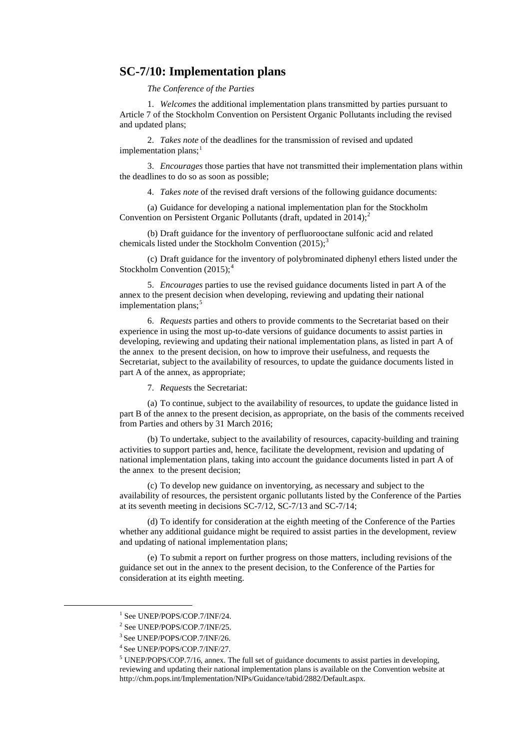### **SC-7/10: Implementation plans**

*The Conference of the Parties*

1. *Welcomes* the additional implementation plans transmitted by parties pursuant to Article 7 of the Stockholm Convention on Persistent Organic Pollutants including the revised and updated plans;

2. *Takes note* of the deadlines for the transmission of revised and updated implementation plans;<sup>[1](#page-0-0)</sup>

3. *Encourages* those parties that have not transmitted their implementation plans within the deadlines to do so as soon as possible;

4. *Takes note* of the revised draft versions of the following guidance documents:

(a) Guidance for developing a national implementation plan for the Stockholm Convention on Persistent Organic Pollutants (draft, updated in  $2014$  $2014$ );<sup>2</sup>

(b) Draft guidance for the inventory of perfluorooctane sulfonic acid and related chemicals listed under the Stockholm Convention  $(2015)$ ;<sup>[3](#page-0-2)</sup>

(c) Draft guidance for the inventory of polybrominated diphenyl ethers listed under the Stockholm Convention  $(2015)$ ;<sup>[4](#page-0-3)</sup>

5. *Encourages* parties to use the revised guidance documents listed in part A of the annex to the present decision when developing, reviewing and updating their national implementation plans; $<sup>5</sup>$  $<sup>5</sup>$  $<sup>5</sup>$ </sup>

6. *Requests* parties and others to provide comments to the Secretariat based on their experience in using the most up-to-date versions of guidance documents to assist parties in developing, reviewing and updating their national implementation plans, as listed in part A of the annex to the present decision, on how to improve their usefulness, and requests the Secretariat, subject to the availability of resources, to update the guidance documents listed in part A of the annex, as appropriate;

7. *Request*s the Secretariat:

(a) To continue, subject to the availability of resources, to update the guidance listed in part B of the annex to the present decision, as appropriate, on the basis of the comments received from Parties and others by 31 March 2016;

(b) To undertake, subject to the availability of resources, capacity-building and training activities to support parties and, hence, facilitate the development, revision and updating of national implementation plans, taking into account the guidance documents listed in part A of the annex to the present decision;

(c) To develop new guidance on inventorying, as necessary and subject to the availability of resources, the persistent organic pollutants listed by the Conference of the Parties at its seventh meeting in decisions SC-7/12, SC-7/13 and SC-7/14;

(d) To identify for consideration at the eighth meeting of the Conference of the Parties whether any additional guidance might be required to assist parties in the development, review and updating of national implementation plans;

(e) To submit a report on further progress on those matters, including revisions of the guidance set out in the annex to the present decision, to the Conference of the Parties for consideration at its eighth meeting.

<span id="page-0-0"></span><sup>&</sup>lt;sup>1</sup> See UNEP/POPS/COP.7/INF/24.

<span id="page-0-1"></span> $^2$  See UNEP/POPS/COP.7/INF/25.<br> $^3$  See UNEP/POPS/COP.7/INF/26.

<span id="page-0-3"></span><span id="page-0-2"></span><sup>&</sup>lt;sup>4</sup> See UNEP/POPS/COP.7/INF/27.

<span id="page-0-4"></span><sup>5</sup> UNEP/POPS/COP.7/16, annex. The full set of guidance documents to assist parties in developing, reviewing and updating their national implementation plans is available on the Convention website at [http://chm.pops.int/Implementation/NIPs/Guidance/tabid/2882/Default.aspx.](http://chm.pops.int/Implementation/NIPs/Guidance/tabid/2882/Default.aspx)